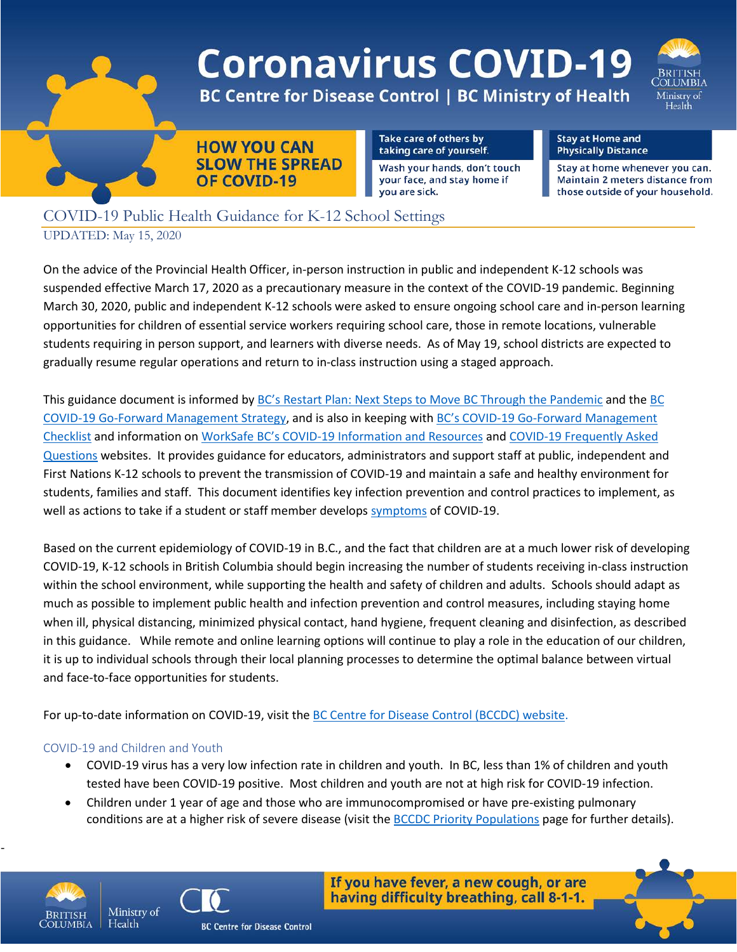

# **Coronavirus COVID-19**

**OLUMBIA** Ministry of Health

**BC Centre for Disease Control | BC Ministry of Health** 



Take care of others by taking care of yourself.

Wash your hands, don't touch your face, and stay home if you are sick.

**Stay at Home and Physically Distance** 

Stay at home whenever you can. Maintain 2 meters distance from those outside of your household.

# COVID-19 Public Health Guidance for K-12 School Settings UPDATED: May 15, 2020

On the advice of the Provincial Health Officer, in-person instruction in public and independent K-12 schools was suspended effective March 17, 2020 as a precautionary measure in the context of the COVID-19 pandemic. Beginning March 30, 2020, public and independent K-12 schools were asked to ensure ongoing school care and in-person learning opportunities for children of essential service workers requiring school care, those in remote locations, vulnerable students requiring in person support, and learners with diverse needs. As of May 19, school districts are expected to gradually resume regular operations and return to in-class instruction using a staged approach.

This guidance document is informed by [BC's Restart Plan: Next Steps to Move BC Through the Pandemic](https://www2.gov.bc.ca/gov/content/safety/emergency-preparedness-response-recovery/covid-19-provincial-support/bc-restart-plan) and the [BC](https://www2.gov.bc.ca/assets/gov/health/about-bc-s-health-care-system/office-of-the-provincial-health-officer/covid-19/bc_covid-19_go-forward_management_strategy_web.pdf)  [COVID-19 Go-Forward Management Strategy,](https://www2.gov.bc.ca/assets/gov/health/about-bc-s-health-care-system/office-of-the-provincial-health-officer/covid-19/bc_covid-19_go-forward_management_strategy_web.pdf) and is also in keeping with [BC's COVID-19 Go-Forward Management](https://www2.gov.bc.ca/assets/gov/public-safety-and-emergency-services/emergency-preparedness-response-recovery/gdx/go_forward_strategy_checklist_web.pdf)  [Checklist](https://www2.gov.bc.ca/assets/gov/public-safety-and-emergency-services/emergency-preparedness-response-recovery/gdx/go_forward_strategy_checklist_web.pdf) and information on [WorkSafe BC's COVID-19 Information and Resources](https://www.worksafebc.com/en/about-us/covid-19-updates) and [COVID-19 Frequently Asked](https://www.worksafebc.com/en/about-us/covid-19-updates/health-and-safety/covid-19-faqs)  [Questions](https://www.worksafebc.com/en/about-us/covid-19-updates/health-and-safety/covid-19-faqs) websites. It provides guidance for educators, administrators and support staff at public, independent and First Nations K-12 schools to prevent the transmission of COVID-19 and maintain a safe and healthy environment for students, families and staff. This document identifies key infection prevention and control practices to implement, as well as actions to take if a student or staff member develops [symptoms](http://www.bccdc.ca/health-info/diseases-conditions/covid-19/about-covid-19/symptoms) of COVID-19.

Based on the current epidemiology of COVID-19 in B.C., and the fact that children are at a much lower risk of developing COVID-19, K-12 schools in British Columbia should begin increasing the number of students receiving in-class instruction within the school environment, while supporting the health and safety of children and adults. Schools should adapt as much as possible to implement public health and infection prevention and control measures, including staying home when ill, physical distancing, minimized physical contact, hand hygiene, frequent cleaning and disinfection, as described in this guidance. While remote and online learning options will continue to play a role in the education of our children, it is up to individual schools through their local planning processes to determine the optimal balance between virtual and face-to-face opportunities for students.

For up-to-date information on COVID-19, visit the [BC Centre for Disease Control \(BCCDC\)](http://www.bccdc.ca/health-info/diseases-conditions/covid-19.) website.

## COVID-19 and Children and Youth

Health

- COVID-19 virus has a very low infection rate in children and youth. In BC, less than 1% of children and youth tested have been COVID-19 positive. Most children and youth are not at high risk for COVID-19 infection.
- Children under 1 year of age and those who are immunocompromised or have pre-existing pulmonary conditions are at a higher risk of severe disease (visit the [BCCDC Priority Populations](http://www.bccdc.ca/health-info/diseases-conditions/covid-19/priority-populations) page for further details).



-



If you have fever, a new cough, or are having difficulty breathing, call 8-1-1.

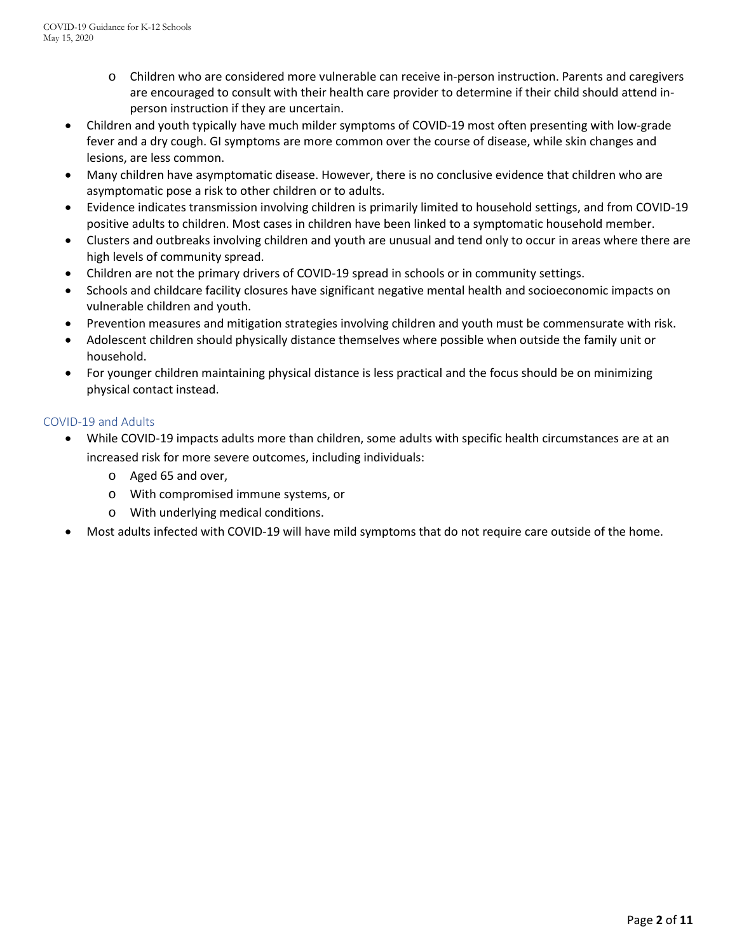- o Children who are considered more vulnerable can receive in-person instruction. Parents and caregivers are encouraged to consult with their health care provider to determine if their child should attend inperson instruction if they are uncertain.
- Children and youth typically have much milder symptoms of COVID-19 most often presenting with low-grade fever and a dry cough. GI symptoms are more common over the course of disease, while skin changes and lesions, are less common.
- Many children have asymptomatic disease. However, there is no conclusive evidence that children who are asymptomatic pose a risk to other children or to adults.
- Evidence indicates transmission involving children is primarily limited to household settings, and from COVID-19 positive adults to children. Most cases in children have been linked to a symptomatic household member.
- Clusters and outbreaks involving children and youth are unusual and tend only to occur in areas where there are high levels of community spread.
- Children are not the primary drivers of COVID-19 spread in schools or in community settings.
- Schools and childcare facility closures have significant negative mental health and socioeconomic impacts on vulnerable children and youth.
- Prevention measures and mitigation strategies involving children and youth must be commensurate with risk.
- Adolescent children should physically distance themselves where possible when outside the family unit or household.
- For younger children maintaining physical distance is less practical and the focus should be on minimizing physical contact instead.

#### COVID-19 and Adults

- While COVID-19 impacts adults more than children, some adults with specific health circumstances are at an increased risk for more severe outcomes, including individuals:
	- o Aged 65 and over,
	- o With compromised immune systems, or
	- o With underlying medical conditions.
- Most adults infected with COVID-19 will have mild symptoms that do not require care outside of the home.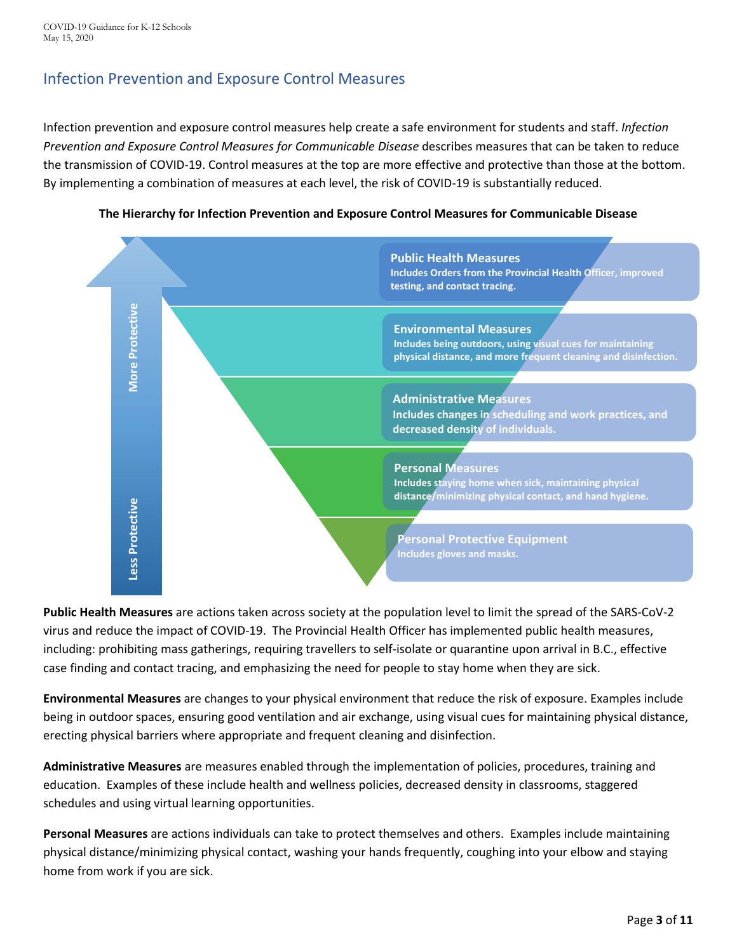# Infection Prevention and Exposure Control Measures

Infection prevention and exposure control measures help create a safe environment for students and staff. *Infection Prevention and Exposure Control Measures for Communicable Disease* describes measures that can be taken to reduce the transmission of COVID-19. Control measures at the top are more effective and protective than those at the bottom. By implementing a combination of measures at each level, the risk of COVID-19 is substantially reduced.





**Public Health Measures** are actions taken across society at the population level to limit the spread of the SARS-CoV-2 virus and reduce the impact of COVID-19. The Provincial Health Officer has implemented public health measures, including: prohibiting mass gatherings, requiring travellers to self-isolate or quarantine upon arrival in B.C., effective case finding and contact tracing, and emphasizing the need for people to stay home when they are sick.

**Environmental Measures** are changes to your physical environment that reduce the risk of exposure. Examples include being in outdoor spaces, ensuring good ventilation and air exchange, using visual cues for maintaining physical distance, erecting physical barriers where appropriate and frequent cleaning and disinfection.

**Administrative Measures** are measures enabled through the implementation of policies, procedures, training and education. Examples of these include health and wellness policies, decreased density in classrooms, staggered schedules and using virtual learning opportunities.

**Personal Measures** are actions individuals can take to protect themselves and others. Examples include maintaining physical distance/minimizing physical contact, washing your hands frequently, coughing into your elbow and staying home from work if you are sick.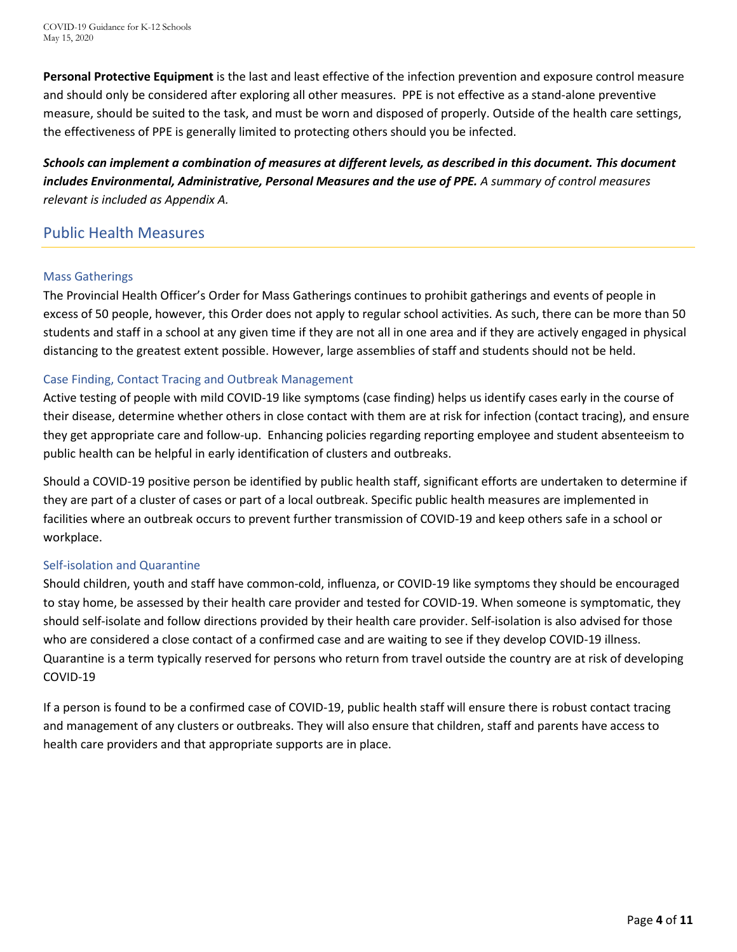COVID-19 Guidance for K-12 Schools May 15, 2020

**Personal Protective Equipment** is the last and least effective of the infection prevention and exposure control measure and should only be considered after exploring all other measures. PPE is not effective as a stand-alone preventive measure, should be suited to the task, and must be worn and disposed of properly. Outside of the health care settings, the effectiveness of PPE is generally limited to protecting others should you be infected.

*Schools can implement a combination of measures at different levels, as described in this document. This document includes Environmental, Administrative, Personal Measures and the use of PPE. A summary of control measures relevant is included as Appendix A.*

## Public Health Measures

#### Mass Gatherings

The Provincial Health Officer's Order for Mass Gatherings continues to prohibit gatherings and events of people in excess of 50 people, however, this Order does not apply to regular school activities. As such, there can be more than 50 students and staff in a school at any given time if they are not all in one area and if they are actively engaged in physical distancing to the greatest extent possible. However, large assemblies of staff and students should not be held.

#### Case Finding, Contact Tracing and Outbreak Management

Active testing of people with mild COVID-19 like symptoms (case finding) helps us identify cases early in the course of their disease, determine whether others in close contact with them are at risk for infection (contact tracing), and ensure they get appropriate care and follow-up. Enhancing policies regarding reporting employee and student absenteeism to public health can be helpful in early identification of clusters and outbreaks.

Should a COVID-19 positive person be identified by public health staff, significant efforts are undertaken to determine if they are part of a cluster of cases or part of a local outbreak. Specific public health measures are implemented in facilities where an outbreak occurs to prevent further transmission of COVID-19 and keep others safe in a school or workplace.

#### Self-isolation and Quarantine

Should children, youth and staff have common-cold, influenza, or COVID-19 like symptoms they should be encouraged to stay home, be assessed by their health care provider and tested for COVID-19. When someone is symptomatic, they should self-isolate and follow directions provided by their health care provider. Self-isolation is also advised for those who are considered a close contact of a confirmed case and are waiting to see if they develop COVID-19 illness. Quarantine is a term typically reserved for persons who return from travel outside the country are at risk of developing COVID-19

If a person is found to be a confirmed case of COVID-19, public health staff will ensure there is robust contact tracing and management of any clusters or outbreaks. They will also ensure that children, staff and parents have access to health care providers and that appropriate supports are in place.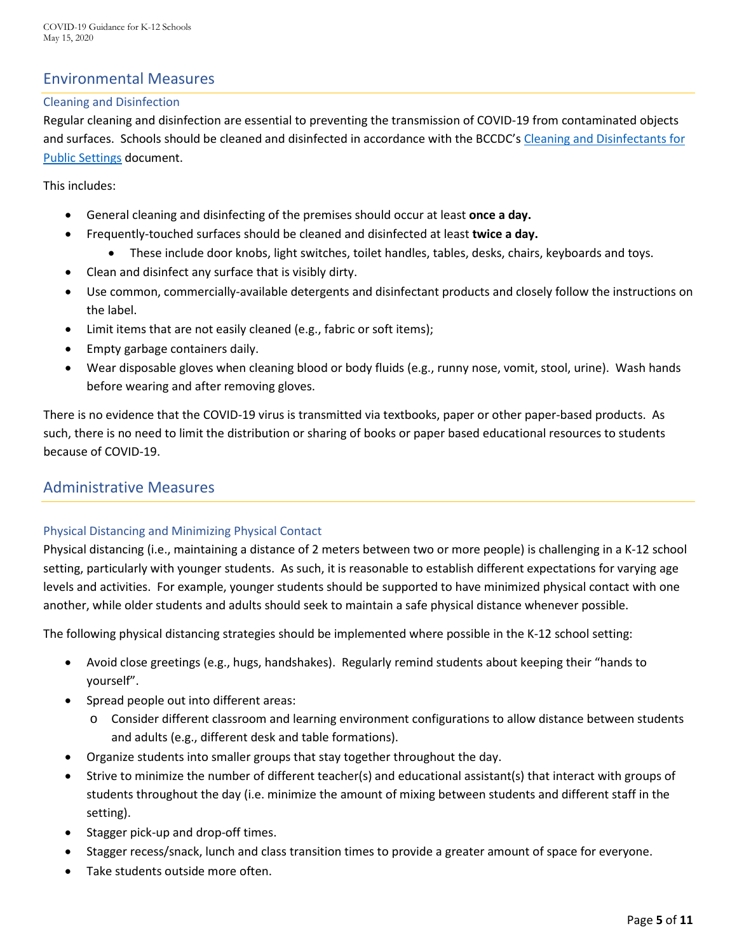# Environmental Measures

#### Cleaning and Disinfection

Regular cleaning and disinfection are essential to preventing the transmission of COVID-19 from contaminated objects and surfaces. Schools should be cleaned and disinfected in accordance with the BCCDC's Cleaning and Disinfectants for [Public Settings](http://www.bccdc.ca/Health-Info-Site/Documents/CleaningDisinfecting_PublicSettings.pdf) document.

This includes:

- General cleaning and disinfecting of the premises should occur at least **once a day.**
	- Frequently-touched surfaces should be cleaned and disinfected at least **twice a day.**
		- These include door knobs, light switches, toilet handles, tables, desks, chairs, keyboards and toys.
- Clean and disinfect any surface that is visibly dirty.
- Use common, commercially-available detergents and disinfectant products and closely follow the instructions on the label.
- Limit items that are not easily cleaned (e.g., fabric or soft items);
- Empty garbage containers daily.
- Wear disposable gloves when cleaning blood or body fluids (e.g., runny nose, vomit, stool, urine). Wash hands before wearing and after removing gloves.

There is no evidence that the COVID-19 virus is transmitted via textbooks, paper or other paper-based products. As such, there is no need to limit the distribution or sharing of books or paper based educational resources to students because of COVID-19.

# Administrative Measures

#### Physical Distancing and Minimizing Physical Contact

Physical distancing (i.e., maintaining a distance of 2 meters between two or more people) is challenging in a K-12 school setting, particularly with younger students. As such, it is reasonable to establish different expectations for varying age levels and activities. For example, younger students should be supported to have minimized physical contact with one another, while older students and adults should seek to maintain a safe physical distance whenever possible.

The following physical distancing strategies should be implemented where possible in the K-12 school setting:

- Avoid close greetings (e.g., hugs, handshakes). Regularly remind students about keeping their "hands to yourself".
- Spread people out into different areas:
	- o Consider different classroom and learning environment configurations to allow distance between students and adults (e.g., different desk and table formations).
- Organize students into smaller groups that stay together throughout the day.
- Strive to minimize the number of different teacher(s) and educational assistant(s) that interact with groups of students throughout the day (i.e. minimize the amount of mixing between students and different staff in the setting).
- Stagger pick-up and drop-off times.
- Stagger recess/snack, lunch and class transition times to provide a greater amount of space for everyone.
- Take students outside more often.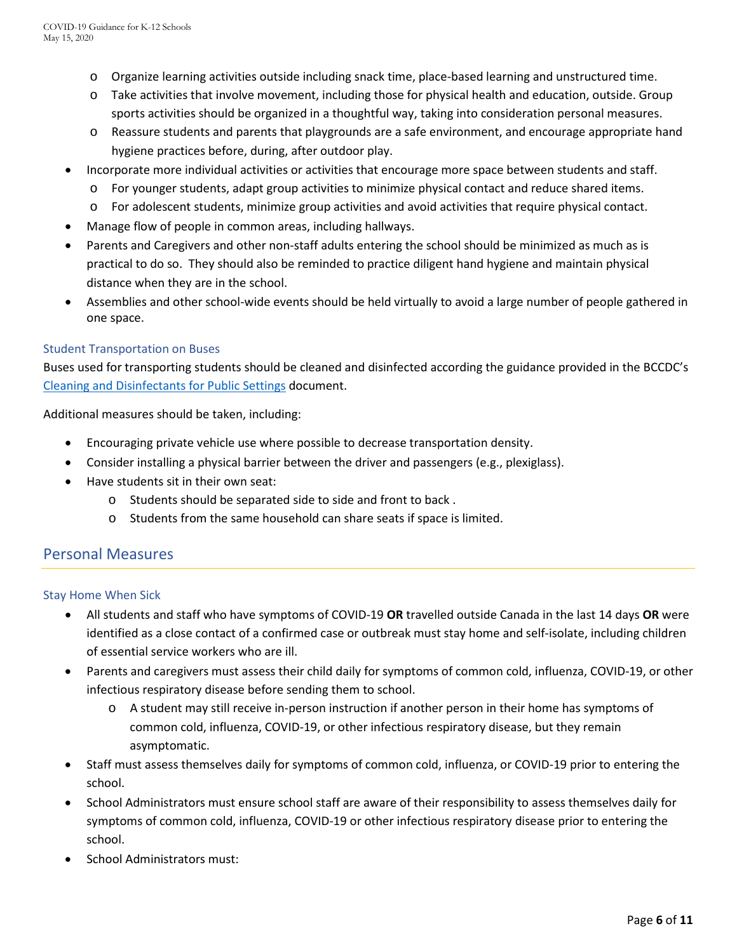- o Organize learning activities outside including snack time, place-based learning and unstructured time.
- o Take activities that involve movement, including those for physical health and education, outside. Group sports activities should be organized in a thoughtful way, taking into consideration personal measures.
- o Reassure students and parents that playgrounds are a safe environment, and encourage appropriate hand hygiene practices before, during, after outdoor play.
- Incorporate more individual activities or activities that encourage more space between students and staff.
	- o For younger students, adapt group activities to minimize physical contact and reduce shared items.
	- o For adolescent students, minimize group activities and avoid activities that require physical contact.
- Manage flow of people in common areas, including hallways.
- Parents and Caregivers and other non-staff adults entering the school should be minimized as much as is practical to do so. They should also be reminded to practice diligent hand hygiene and maintain physical distance when they are in the school.
- Assemblies and other school-wide events should be held virtually to avoid a large number of people gathered in one space.

#### Student Transportation on Buses

Buses used for transporting students should be cleaned and disinfected according the guidance provided in the BCCDC's Cleaning and [Disinfectants for Public Settings](http://www.bccdc.ca/Health-Info-Site/Documents/CleaningDisinfecting_PublicSettings.pdf) document.

Additional measures should be taken, including:

- Encouraging private vehicle use where possible to decrease transportation density.
- Consider installing a physical barrier between the driver and passengers (e.g., plexiglass).
- Have students sit in their own seat:
	- o Students should be separated side to side and front to back .
	- o Students from the same household can share seats if space is limited.

## Personal Measures

#### Stay Home When Sick

- All students and staff who have symptoms of COVID-19 **OR** travelled outside Canada in the last 14 days **OR** were identified as a close contact of a confirmed case or outbreak must stay home and [self-isolate,](http://www.bccdc.ca/health-info/diseases-conditions/covid-19/self-isolation) including children of essential service workers who are ill.
- Parents and caregivers must assess their child daily for symptoms of common cold, influenza, COVID-19, or other infectious respiratory disease before sending them to school.
	- o A student may still receive in-person instruction if another person in their home has symptoms of common cold, influenza, COVID-19, or other infectious respiratory disease, but they remain asymptomatic.
- Staff must assess themselves daily for symptoms of common cold, influenza, or COVID-19 prior to entering the school.
- School Administrators must ensure school staff are aware of their responsibility to assess themselves daily for symptoms of common cold, influenza, COVID-19 or other infectious respiratory disease prior to entering the school.
- School Administrators must: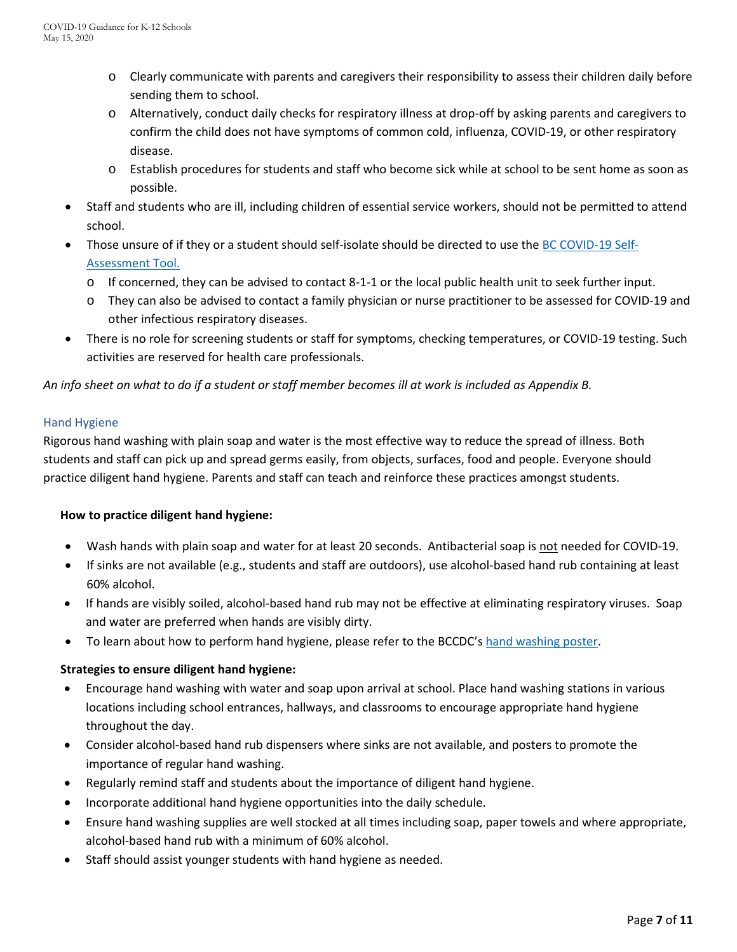- o Clearly communicate with parents and caregivers their responsibility to assess their children daily before sending them to school.
- o Alternatively, conduct daily checks for respiratory illness at drop-off by asking parents and caregivers to confirm the child does not have symptoms of common cold, influenza, COVID-19, or other respiratory disease.
- o Establish procedures for students and staff who become sick while at school to be sent home as soon as possible.
- Staff and students who are ill, including children of essential service workers, should not be permitted to attend school.
- Those unsure of if they or a student should self-isolate should be directed to use the [BC COVID-19 Self-](https://bc.thrive.health/)[Assessment Tool.](https://bc.thrive.health/) 
	- o If concerned, they can be advised to contact 8-1-1 or the local public health unit to seek further input.
	- o They can also be advised to contact a family physician or nurse practitioner to be assessed for COVID-19 and other infectious respiratory diseases.
- There is no role for screening students or staff for symptoms, checking temperatures, or COVID-19 testing. Such activities are reserved for health care professionals.

*An info sheet on what to do if a student or staff member becomes ill at work is included as Appendix B.* 

#### Hand Hygiene

Rigorous hand washing with plain soap and water is the most effective way to reduce the spread of illness. Both students and staff can pick up and spread germs easily, from objects, surfaces, food and people. Everyone should practice diligent hand hygiene. Parents and staff can teach and reinforce these practices amongst students.

#### **How to practice diligent hand hygiene:**

- Wash hands with plain soap and water for at least 20 seconds. Antibacterial soap is not needed for COVID-19.
- If sinks are not available (e.g., students and staff are outdoors), use alcohol-based hand rub containing at least 60% alcohol.
- If hands are visibly soiled, alcohol-based hand rub may not be effective at eliminating respiratory viruses. Soap and water are preferred when hands are visibly dirty.
- To learn about how to perform hand hygiene, please refer to the BCCDC'[s hand washing poster.](http://www.bccdc.ca/health-professionals/clinical-resources/covid-19-care/signage-posters)

#### **Strategies to ensure diligent hand hygiene:**

- Encourage hand washing with water and soap upon arrival at school. Place hand washing stations in various locations including school entrances, hallways, and classrooms to encourage appropriate hand hygiene throughout the day.
- Consider alcohol-based hand rub dispensers where sinks are not available, and posters to promote the importance of regular hand washing.
- Regularly remind staff and students about the importance of diligent hand hygiene.
- Incorporate additional hand hygiene opportunities into the daily schedule.
- Ensure hand washing supplies are well stocked at all times including soap, paper towels and where appropriate, alcohol-based hand rub with a minimum of 60% alcohol.
- Staff should assist younger students with hand hygiene as needed.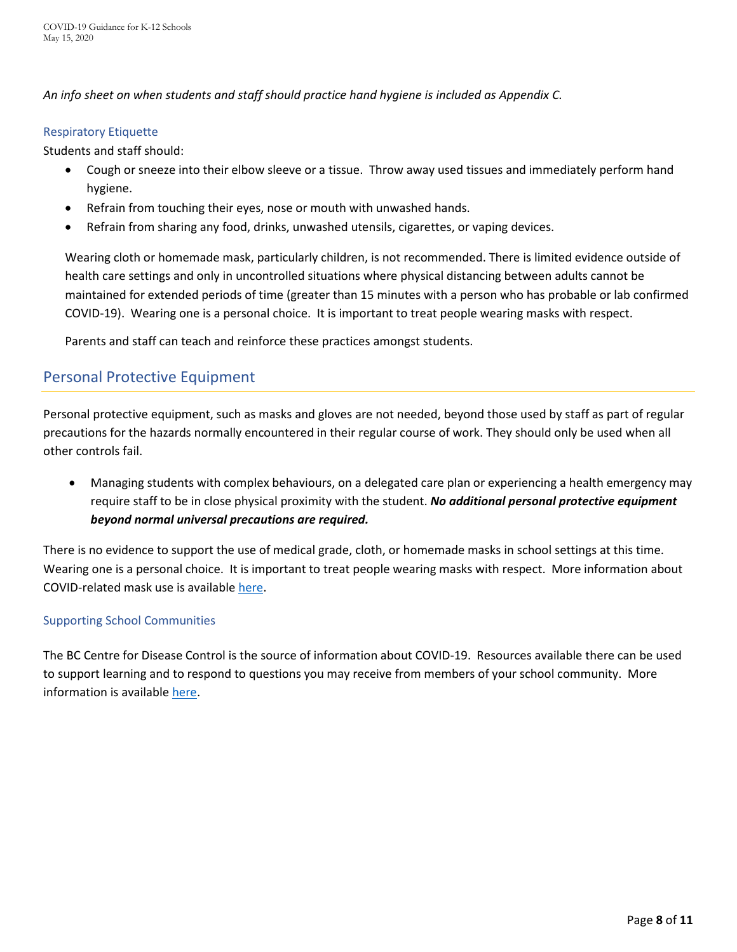*An info sheet on when students and staff should practice hand hygiene is included as Appendix C.* 

#### Respiratory Etiquette

Students and staff should:

- Cough or sneeze into their elbow sleeve or a tissue. Throw away used tissues and immediately perform hand hygiene.
- Refrain from touching their eyes, nose or mouth with unwashed hands.
- Refrain from sharing any food, drinks, unwashed utensils, cigarettes, or vaping devices.

Wearing cloth or homemade mask, particularly children, is not recommended. There is limited evidence outside of health care settings and only in uncontrolled situations where physical distancing between adults cannot be maintained for extended periods of time (greater than 15 minutes with a person who has probable or lab confirmed COVID-19). Wearing one is a personal choice. It is important to treat people wearing masks with respect.

Parents and staff can teach and reinforce these practices amongst students.

# Personal Protective Equipment

Personal protective equipment, such as masks and gloves are not needed, beyond those used by staff as part of regular precautions for the hazards normally encountered in their regular course of work. They should only be used when all other controls fail.

• Managing students with complex behaviours, on a delegated care plan or experiencing a health emergency may require staff to be in close physical proximity with the student. *No additional personal protective equipment beyond normal universal precautions are required.* 

There is no evidence to support the use of medical grade, cloth, or homemade masks in school settings at this time. Wearing one is a personal choice. It is important to treat people wearing masks with respect. More information about COVID-related mask use is available [here.](http://www.bccdc.ca/health-info/diseases-conditions/covid-19/prevention-risks/masks)

#### Supporting School Communities

The BC Centre for Disease Control is the source of information about COVID-19. Resources available there can be used to support learning and to respond to questions you may receive from members of your school community. More information is available [here.](http://covid-19.bccdc.ca/)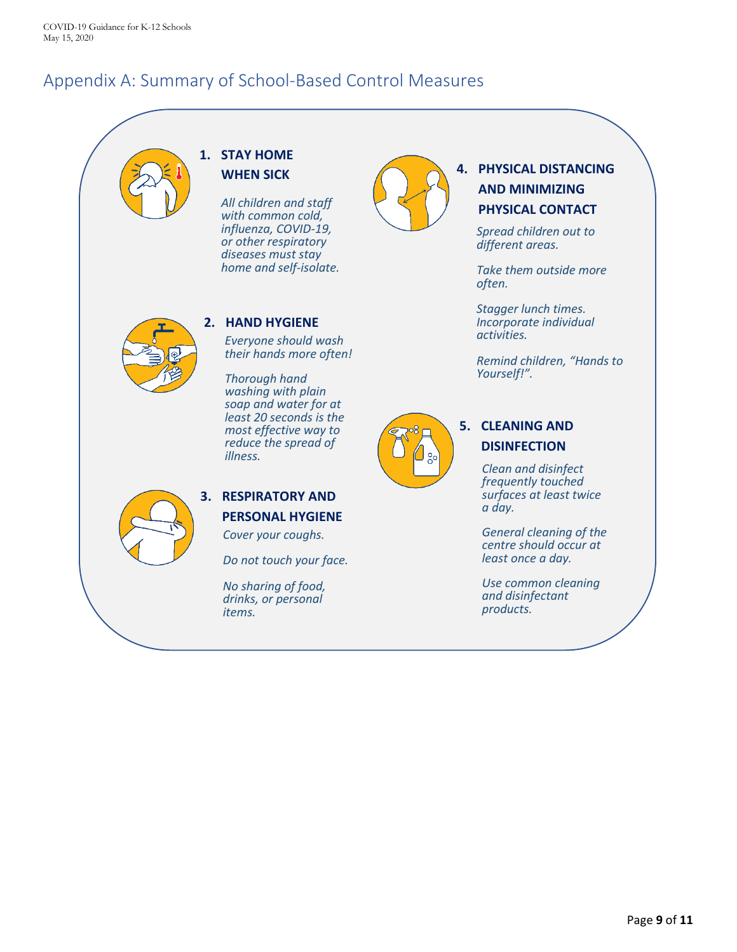# Appendix A: Summary of School-Based Control Measures

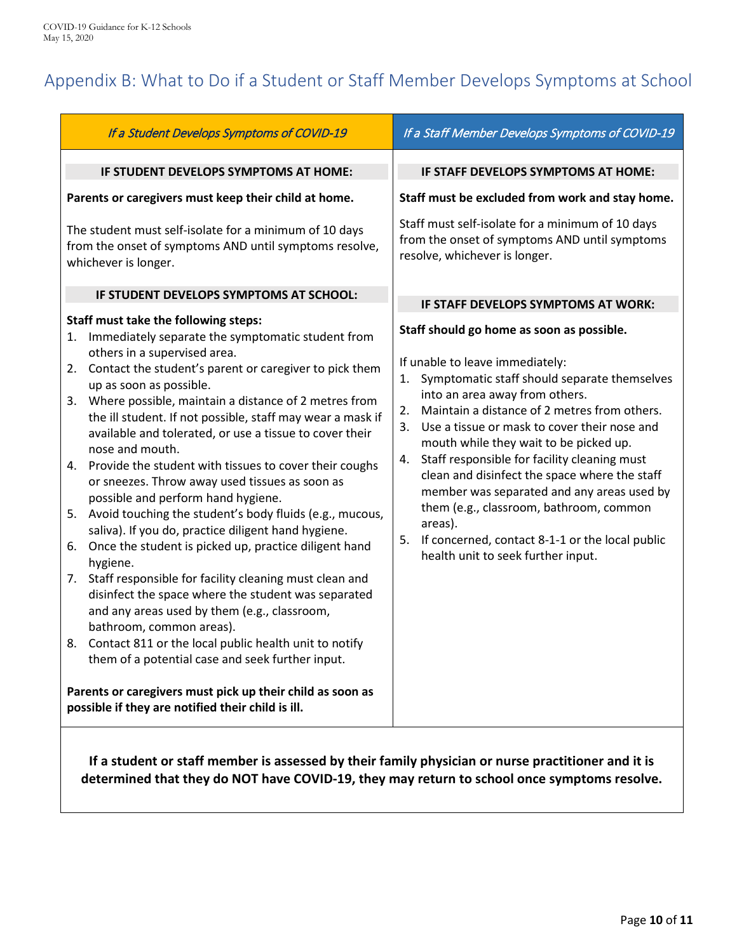# Appendix B: What to Do if a Student or Staff Member Develops Symptoms at School

| If a Student Develops Symptoms of COVID-19                                                                                                                                                                                                                                                                                                                                                                                                                                                                                                                                                                                                                                                                                                                                                                                                                                                                                                                                                                                                                                                                                                                                                                               | If a Staff Member Develops Symptoms of COVID-19                                                                                                                                                                                                                                                                                                                                                                                                                                                                                                                                                                             |
|--------------------------------------------------------------------------------------------------------------------------------------------------------------------------------------------------------------------------------------------------------------------------------------------------------------------------------------------------------------------------------------------------------------------------------------------------------------------------------------------------------------------------------------------------------------------------------------------------------------------------------------------------------------------------------------------------------------------------------------------------------------------------------------------------------------------------------------------------------------------------------------------------------------------------------------------------------------------------------------------------------------------------------------------------------------------------------------------------------------------------------------------------------------------------------------------------------------------------|-----------------------------------------------------------------------------------------------------------------------------------------------------------------------------------------------------------------------------------------------------------------------------------------------------------------------------------------------------------------------------------------------------------------------------------------------------------------------------------------------------------------------------------------------------------------------------------------------------------------------------|
| IF STUDENT DEVELOPS SYMPTOMS AT HOME:                                                                                                                                                                                                                                                                                                                                                                                                                                                                                                                                                                                                                                                                                                                                                                                                                                                                                                                                                                                                                                                                                                                                                                                    | IF STAFF DEVELOPS SYMPTOMS AT HOME:                                                                                                                                                                                                                                                                                                                                                                                                                                                                                                                                                                                         |
| Parents or caregivers must keep their child at home.                                                                                                                                                                                                                                                                                                                                                                                                                                                                                                                                                                                                                                                                                                                                                                                                                                                                                                                                                                                                                                                                                                                                                                     | Staff must be excluded from work and stay home.                                                                                                                                                                                                                                                                                                                                                                                                                                                                                                                                                                             |
| The student must self-isolate for a minimum of 10 days<br>from the onset of symptoms AND until symptoms resolve,<br>whichever is longer.                                                                                                                                                                                                                                                                                                                                                                                                                                                                                                                                                                                                                                                                                                                                                                                                                                                                                                                                                                                                                                                                                 | Staff must self-isolate for a minimum of 10 days<br>from the onset of symptoms AND until symptoms<br>resolve, whichever is longer.                                                                                                                                                                                                                                                                                                                                                                                                                                                                                          |
| IF STUDENT DEVELOPS SYMPTOMS AT SCHOOL:                                                                                                                                                                                                                                                                                                                                                                                                                                                                                                                                                                                                                                                                                                                                                                                                                                                                                                                                                                                                                                                                                                                                                                                  | IF STAFF DEVELOPS SYMPTOMS AT WORK:                                                                                                                                                                                                                                                                                                                                                                                                                                                                                                                                                                                         |
| Staff must take the following steps:<br>1. Immediately separate the symptomatic student from<br>others in a supervised area.<br>2. Contact the student's parent or caregiver to pick them<br>up as soon as possible.<br>Where possible, maintain a distance of 2 metres from<br>3.<br>the ill student. If not possible, staff may wear a mask if<br>available and tolerated, or use a tissue to cover their<br>nose and mouth.<br>4. Provide the student with tissues to cover their coughs<br>or sneezes. Throw away used tissues as soon as<br>possible and perform hand hygiene.<br>Avoid touching the student's body fluids (e.g., mucous,<br>5.<br>saliva). If you do, practice diligent hand hygiene.<br>Once the student is picked up, practice diligent hand<br>6.<br>hygiene.<br>7. Staff responsible for facility cleaning must clean and<br>disinfect the space where the student was separated<br>and any areas used by them (e.g., classroom,<br>bathroom, common areas).<br>8. Contact 811 or the local public health unit to notify<br>them of a potential case and seek further input.<br>Parents or caregivers must pick up their child as soon as<br>possible if they are notified their child is ill. | Staff should go home as soon as possible.<br>If unable to leave immediately:<br>1. Symptomatic staff should separate themselves<br>into an area away from others.<br>Maintain a distance of 2 metres from others.<br>2.<br>3. Use a tissue or mask to cover their nose and<br>mouth while they wait to be picked up.<br>Staff responsible for facility cleaning must<br>4.<br>clean and disinfect the space where the staff<br>member was separated and any areas used by<br>them (e.g., classroom, bathroom, common<br>areas).<br>5. If concerned, contact 8-1-1 or the local public<br>health unit to seek further input. |

**If a student or staff member is assessed by their family physician or nurse practitioner and it is determined that they do NOT have COVID-19, they may return to school once symptoms resolve.**